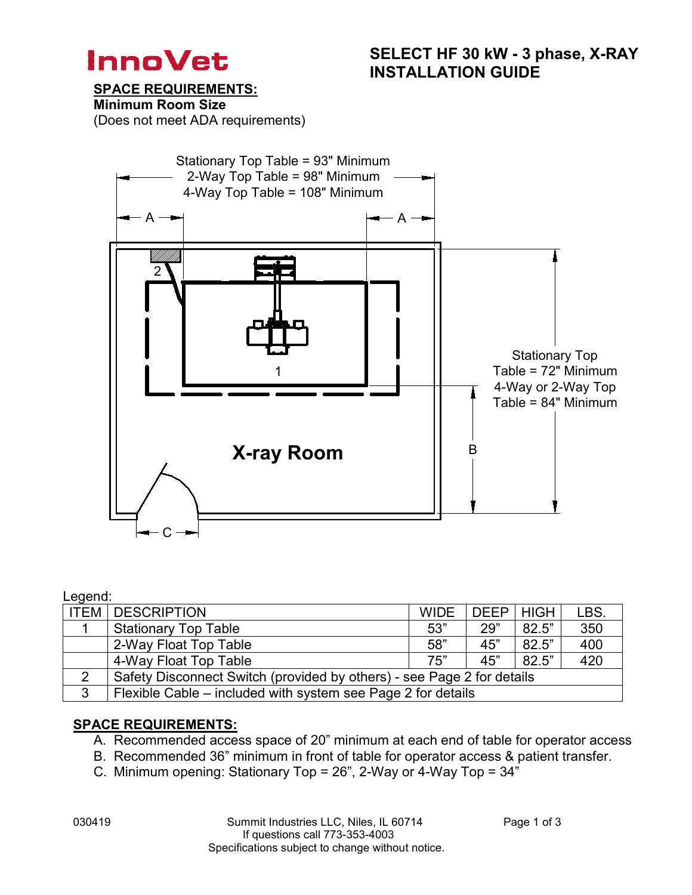

SPACE REQUIREMENTS:

Minimum Room Size

(Does not meet ADA requirements)



#### Legend:

|   | <b>ITEM   DESCRIPTION</b>                                              | <b>WIDE</b> | DEEP HIGH |       | LBS. |  |  |  |
|---|------------------------------------------------------------------------|-------------|-----------|-------|------|--|--|--|
|   | <b>Stationary Top Table</b>                                            | 53"         | 29"       | 82.5" | 350  |  |  |  |
|   | 2-Way Float Top Table                                                  | 58"         | 45"       | 82.5" | 400  |  |  |  |
|   | 4-Way Float Top Table                                                  | 75"         | 45"       | 82.5" | 420  |  |  |  |
| 2 | Safety Disconnect Switch (provided by others) - see Page 2 for details |             |           |       |      |  |  |  |
| 3 | Flexible Cable – included with system see Page 2 for details           |             |           |       |      |  |  |  |

#### SPACE REQUIREMENTS:

- A. Recommended access space of 20" minimum at each end of table for operator access
- B. Recommended 36" minimum in front of table for operator access & patient transfer.
- C. Minimum opening: Stationary Top = 26", 2-Way or 4-Way Top = 34"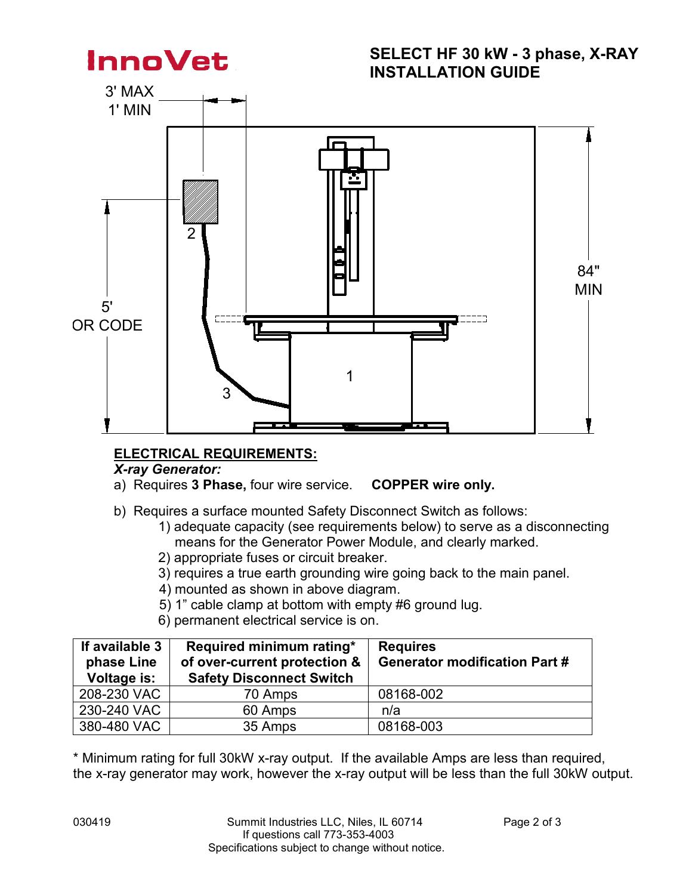

## ELECTRICAL REQUIREMENTS:

## *X-ray Generator:*

a) Requires 3 Phase, four wire service. COPPER wire only.

- b) Requires a surface mounted Safety Disconnect Switch as follows:
	- 1) adequate capacity (see requirements below) to serve as a disconnecting means for the Generator Power Module, and clearly marked.
	- 2) appropriate fuses or circuit breaker.
	- 3) requires a true earth grounding wire going back to the main panel.
	- 4) mounted as shown in above diagram.
	- 5) 1" cable clamp at bottom with empty #6 ground lug.
	- 6) permanent electrical service is on.

| If available 3<br>phase Line<br>Voltage is: | Required minimum rating*<br>of over-current protection &<br><b>Safety Disconnect Switch</b> | <b>Requires</b><br><b>Generator modification Part #</b> |
|---------------------------------------------|---------------------------------------------------------------------------------------------|---------------------------------------------------------|
| 208-230 VAC                                 | 70 Amps                                                                                     | 08168-002                                               |
| 230-240 VAC                                 | 60 Amps                                                                                     | n/a                                                     |
| 380-480 VAC                                 | 35 Amps                                                                                     | 08168-003                                               |

\* Minimum rating for full 30kW x-ray output. If the available Amps are less than required, the x-ray generator may work, however the x-ray output will be less than the full 30kW output.